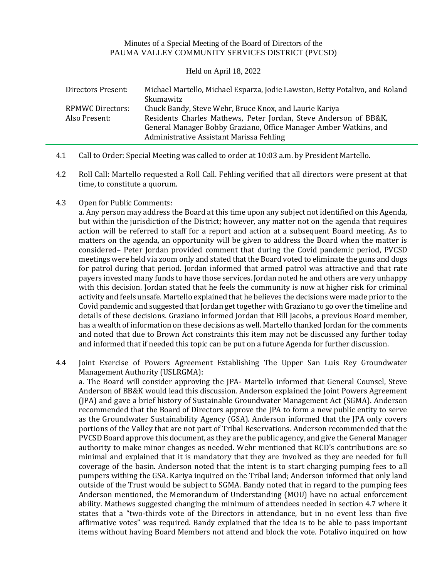## Minutes of a Special Meeting of the Board of Directors of the PAUMA VALLEY COMMUNITY SERVICES DISTRICT (PVCSD)

## Held on April 18, 2022

| Directors Present: | Michael Martello, Michael Esparza, Jodie Lawston, Betty Potalivo, and Roland |
|--------------------|------------------------------------------------------------------------------|
|                    | Skumawitz                                                                    |
| RPMWC Directors:   | Chuck Bandy, Steve Wehr, Bruce Knox, and Laurie Kariya                       |
| Also Present:      | Residents Charles Mathews, Peter Jordan, Steve Anderson of BB&K,             |
|                    | General Manager Bobby Graziano, Office Manager Amber Watkins, and            |
|                    | Administrative Assistant Marissa Fehling                                     |

- 4.1 Call to Order: Special Meeting was called to order at 10:03 a.m. by President Martello.
- 4.2 Roll Call: Martello requested a Roll Call. Fehling verified that all directors were present at that time, to constitute a quorum.

## 4.3 Open for Public Comments:

a. Any person may address the Board at this time upon any subject not identified on this Agenda, but within the jurisdiction of the District; however, any matter not on the agenda that requires action will be referred to staff for a report and action at a subsequent Board meeting. As to matters on the agenda, an opportunity will be given to address the Board when the matter is considered– Peter Jordan provided comment that during the Covid pandemic period, PVCSD meetings were held via zoom only and stated that the Board voted to eliminate the guns and dogs for patrol during that period. Jordan informed that armed patrol was attractive and that rate payers invested many funds to have those services. Jordan noted he and others are very unhappy with this decision. Jordan stated that he feels the community is now at higher risk for criminal activity and feels unsafe. Martello explained that he believes the decisions were made prior to the Covid pandemic and suggested that Jordan get together with Graziano to go over the timeline and details of these decisions. Graziano informed Jordan that Bill Jacobs, a previous Board member, has a wealth of information on these decisions as well. Martello thanked Jordan for the comments and noted that due to Brown Act constraints this item may not be discussed any further today and informed that if needed this topic can be put on a future Agenda for further discussion.

4.4 Joint Exercise of Powers Agreement Establishing The Upper San Luis Rey Groundwater Management Authority (USLRGMA):

a. The Board will consider approving the JPA- Martello informed that General Counsel, Steve Anderson of BB&K would lead this discussion. Anderson explained the Joint Powers Agreement (JPA) and gave a brief history of Sustainable Groundwater Management Act (SGMA). Anderson recommended that the Board of Directors approve the JPA to form a new public entity to serve as the Groundwater Sustainability Agency (GSA). Anderson informed that the JPA only covers portions of the Valley that are not part of Tribal Reservations. Anderson recommended that the PVCSD Board approve this document, as they are the public agency, and give the General Manager authority to make minor changes as needed. Wehr mentioned that RCD's contributions are so minimal and explained that it is mandatory that they are involved as they are needed for full coverage of the basin. Anderson noted that the intent is to start charging pumping fees to all pumpers withing the GSA. Kariya inquired on the Tribal land; Anderson informed that only land outside of the Trust would be subject to SGMA. Bandy noted that in regard to the pumping fees Anderson mentioned, the Memorandum of Understanding (MOU) have no actual enforcement ability. Mathews suggested changing the minimum of attendees needed in section 4.7 where it states that a "two-thirds vote of the Directors in attendance, but in no event less than five affirmative votes" was required. Bandy explained that the idea is to be able to pass important items without having Board Members not attend and block the vote. Potalivo inquired on how